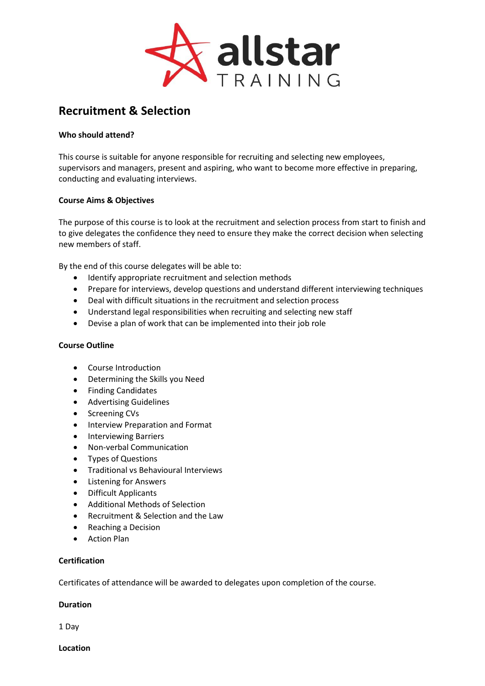

# **Recruitment & Selection**

## **Who should attend?**

This course is suitable for anyone responsible for recruiting and selecting new employees, supervisors and managers, present and aspiring, who want to become more effective in preparing, conducting and evaluating interviews.

### **Course Aims & Objectives**

The purpose of this course is to look at the recruitment and selection process from start to finish and to give delegates the confidence they need to ensure they make the correct decision when selecting new members of staff.

By the end of this course delegates will be able to:

- Identify appropriate recruitment and selection methods
- Prepare for interviews, develop questions and understand different interviewing techniques
- Deal with difficult situations in the recruitment and selection process
- Understand legal responsibilities when recruiting and selecting new staff
- Devise a plan of work that can be implemented into their job role

#### **Course Outline**

- Course Introduction
- Determining the Skills you Need
- Finding Candidates
- Advertising Guidelines
- Screening CVs
- **•** Interview Preparation and Format
- Interviewing Barriers
- Non-verbal Communication
- Types of Questions
- **•** Traditional vs Behavioural Interviews
- Listening for Answers
- Difficult Applicants
- Additional Methods of Selection
- Recruitment & Selection and the Law
- Reaching a Decision
- Action Plan

#### **Certification**

Certificates of attendance will be awarded to delegates upon completion of the course.

## **Duration**

1 Day